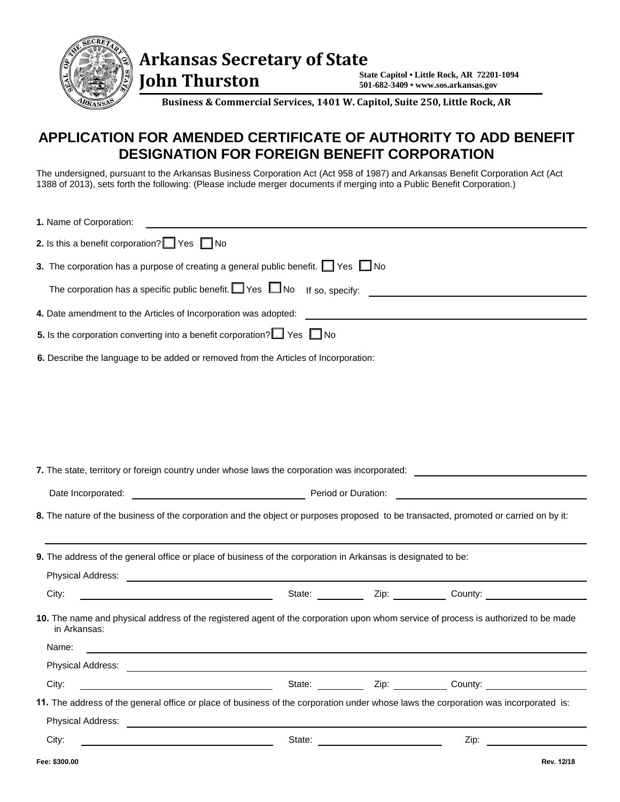

 **John Thurston** 

**State Capitol • Little Rock, AR 72201-1094 501-682-3409 • www.sos.arkansas.gov**

**Business & Commercial Services, 1401 W. Capitol, Suite 250, Little Rock, AR** 

## **APPLICATION FOR AMENDED CERTIFICATE OF AUTHORITY TO ADD BENEFIT DESIGNATION FOR FOREIGN BENEFIT CORPORATION**

The undersigned, pursuant to the Arkansas Business Corporation Act (Act 958 of 1987) and Arkansas Benefit Corporation Act (Act 1388 of 2013), sets forth the following: (Please include merger documents if merging into a Public Benefit Corporation.)

| 1. Name of Corporation:                                                                                                                            |        |                                                                                  |            |
|----------------------------------------------------------------------------------------------------------------------------------------------------|--------|----------------------------------------------------------------------------------|------------|
| 2. Is this a benefit corporation? $\Box$ Yes $\Box$ No                                                                                             |        |                                                                                  |            |
| 3. The corporation has a purpose of creating a general public benefit. $\Box$ Yes $\Box$ No                                                        |        |                                                                                  |            |
| The corporation has a specific public benefit. $\Box$ Yes $\Box$ No If so, specify:                                                                |        |                                                                                  |            |
| 4. Date amendment to the Articles of Incorporation was adopted:                                                                                    |        |                                                                                  |            |
| 5. Is the corporation converting into a benefit corporation? $\Box$ Yes $\Box$ No                                                                  |        |                                                                                  |            |
| 6. Describe the language to be added or removed from the Articles of Incorporation:                                                                |        |                                                                                  |            |
|                                                                                                                                                    |        |                                                                                  |            |
|                                                                                                                                                    |        |                                                                                  |            |
|                                                                                                                                                    |        |                                                                                  |            |
|                                                                                                                                                    |        |                                                                                  |            |
| 7. The state, territory or foreign country under whose laws the corporation was incorporated:                                                      |        |                                                                                  |            |
| Date Incorporated: <b>Date Incorporated:</b> Period or Duration: <u>Period or Duration:</u> 2014                                                   |        |                                                                                  |            |
| 8. The nature of the business of the corporation and the object or purposes proposed to be transacted, promoted or carried on by it:               |        |                                                                                  |            |
|                                                                                                                                                    |        |                                                                                  |            |
| 9. The address of the general office or place of business of the corporation in Arkansas is designated to be:                                      |        |                                                                                  |            |
| Physical Address: No. 2014 12:30 No. 2014 12:30 No. 2014 12:30 No. 2014 12:30 No. 2014 12:30 No. 2014 12:30 No                                     |        |                                                                                  |            |
| <u> 1980 - Johann Barbara, martin a</u><br>City:                                                                                                   |        | State: ____________ Zip: ___________ County: ___________________________________ |            |
| 10. The name and physical address of the registered agent of the corporation upon whom service of process is authorized to be made<br>in Arkansas: |        |                                                                                  |            |
| Name:                                                                                                                                              |        |                                                                                  |            |
| Physical Address:                                                                                                                                  |        |                                                                                  |            |
| City:                                                                                                                                              |        | State: Zip: Zip: County:                                                         |            |
| 11. The address of the general office or place of business of the corporation under whose laws the corporation was incorporated is:                |        |                                                                                  |            |
|                                                                                                                                                    |        |                                                                                  |            |
| City:                                                                                                                                              | State: | $Zip: \_\_$                                                                      |            |
| Fee: \$300.00                                                                                                                                      |        |                                                                                  | Rev. 12/18 |